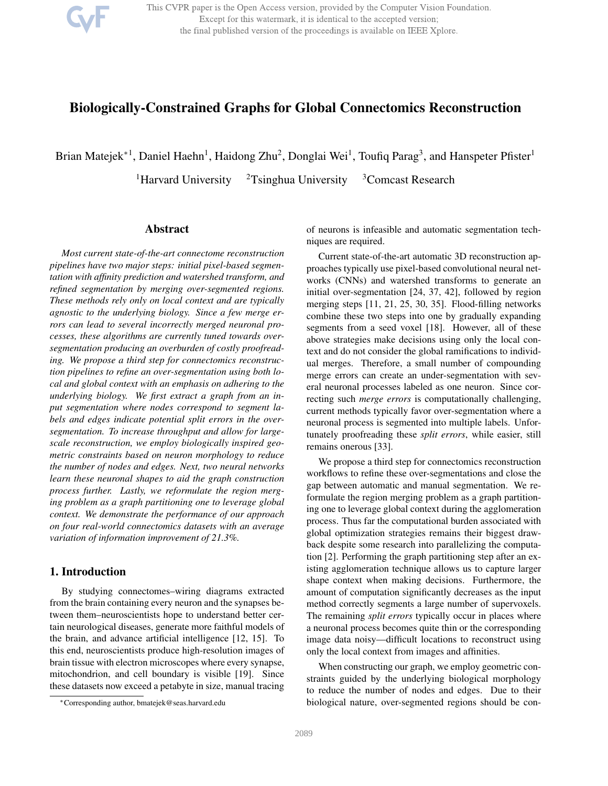This CVPR paper is the Open Access version, provided by the Computer Vision Foundation. Except for this watermark, it is identical to the accepted version; the final published version of the proceedings is available on IEEE Xplore.

# Biologically-Constrained Graphs for Global Connectomics Reconstruction

Brian Matejek<sup>∗1</sup>, Daniel Haehn<sup>1</sup>, Haidong Zhu<sup>2</sup>, Donglai Wei<sup>1</sup>, Toufiq Parag<sup>3</sup>, and Hanspeter Pfister<sup>1</sup>

<sup>1</sup>Harvard University  $2T\sin\theta$  University  $3C$  Omcast Research

# Abstract

*Most current state-of-the-art connectome reconstruction pipelines have two major steps: initial pixel-based segmentation with affinity prediction and watershed transform, and refined segmentation by merging over-segmented regions. These methods rely only on local context and are typically agnostic to the underlying biology. Since a few merge errors can lead to several incorrectly merged neuronal processes, these algorithms are currently tuned towards oversegmentation producing an overburden of costly proofreading. We propose a third step for connectomics reconstruction pipelines to refine an over-segmentation using both local and global context with an emphasis on adhering to the underlying biology. We first extract a graph from an input segmentation where nodes correspond to segment labels and edges indicate potential split errors in the oversegmentation. To increase throughput and allow for largescale reconstruction, we employ biologically inspired geometric constraints based on neuron morphology to reduce the number of nodes and edges. Next, two neural networks learn these neuronal shapes to aid the graph construction process further. Lastly, we reformulate the region merging problem as a graph partitioning one to leverage global context. We demonstrate the performance of our approach on four real-world connectomics datasets with an average variation of information improvement of 21.3%.*

# 1. Introduction

By studying connectomes–wiring diagrams extracted from the brain containing every neuron and the synapses between them–neuroscientists hope to understand better certain neurological diseases, generate more faithful models of the brain, and advance artificial intelligence [12, 15]. To this end, neuroscientists produce high-resolution images of brain tissue with electron microscopes where every synapse, mitochondrion, and cell boundary is visible [19]. Since these datasets now exceed a petabyte in size, manual tracing

of neurons is infeasible and automatic segmentation techniques are required.

Current state-of-the-art automatic 3D reconstruction approaches typically use pixel-based convolutional neural networks (CNNs) and watershed transforms to generate an initial over-segmentation [24, 37, 42], followed by region merging steps [11, 21, 25, 30, 35]. Flood-filling networks combine these two steps into one by gradually expanding segments from a seed voxel [18]. However, all of these above strategies make decisions using only the local context and do not consider the global ramifications to individual merges. Therefore, a small number of compounding merge errors can create an under-segmentation with several neuronal processes labeled as one neuron. Since correcting such *merge errors* is computationally challenging, current methods typically favor over-segmentation where a neuronal process is segmented into multiple labels. Unfortunately proofreading these *split errors*, while easier, still remains onerous [33].

We propose a third step for connectomics reconstruction workflows to refine these over-segmentations and close the gap between automatic and manual segmentation. We reformulate the region merging problem as a graph partitioning one to leverage global context during the agglomeration process. Thus far the computational burden associated with global optimization strategies remains their biggest drawback despite some research into parallelizing the computation [2]. Performing the graph partitioning step after an existing agglomeration technique allows us to capture larger shape context when making decisions. Furthermore, the amount of computation significantly decreases as the input method correctly segments a large number of supervoxels. The remaining *split errors* typically occur in places where a neuronal process becomes quite thin or the corresponding image data noisy—difficult locations to reconstruct using only the local context from images and affinities.

When constructing our graph, we employ geometric constraints guided by the underlying biological morphology to reduce the number of nodes and edges. Due to their biological nature, over-segmented regions should be con-

<sup>∗</sup>Corresponding author, bmatejek@seas.harvard.edu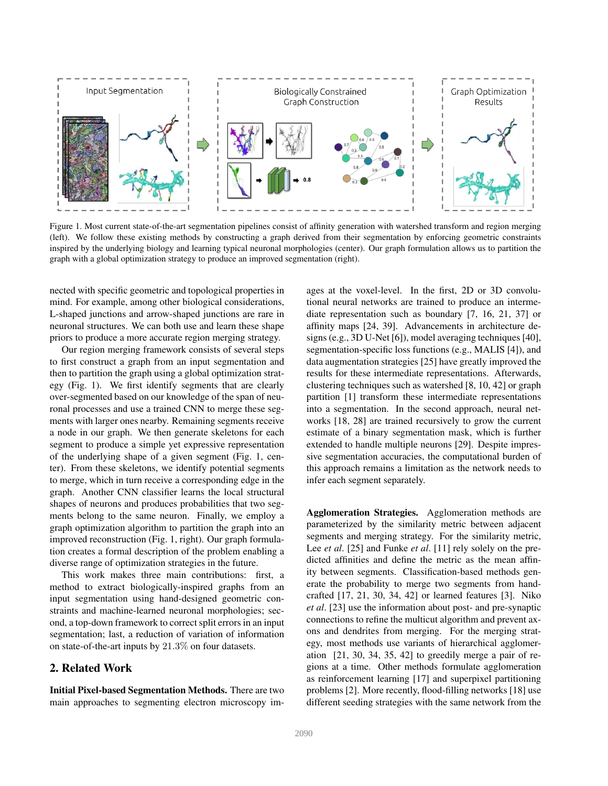

Figure 1. Most current state-of-the-art segmentation pipelines consist of affinity generation with watershed transform and region merging (left). We follow these existing methods by constructing a graph derived from their segmentation by enforcing geometric constraints inspired by the underlying biology and learning typical neuronal morphologies (center). Our graph formulation allows us to partition the graph with a global optimization strategy to produce an improved segmentation (right).

nected with specific geometric and topological properties in mind. For example, among other biological considerations, L-shaped junctions and arrow-shaped junctions are rare in neuronal structures. We can both use and learn these shape priors to produce a more accurate region merging strategy.

Our region merging framework consists of several steps to first construct a graph from an input segmentation and then to partition the graph using a global optimization strategy (Fig. 1). We first identify segments that are clearly over-segmented based on our knowledge of the span of neuronal processes and use a trained CNN to merge these segments with larger ones nearby. Remaining segments receive a node in our graph. We then generate skeletons for each segment to produce a simple yet expressive representation of the underlying shape of a given segment (Fig. 1, center). From these skeletons, we identify potential segments to merge, which in turn receive a corresponding edge in the graph. Another CNN classifier learns the local structural shapes of neurons and produces probabilities that two segments belong to the same neuron. Finally, we employ a graph optimization algorithm to partition the graph into an improved reconstruction (Fig. 1, right). Our graph formulation creates a formal description of the problem enabling a diverse range of optimization strategies in the future.

This work makes three main contributions: first, a method to extract biologically-inspired graphs from an input segmentation using hand-designed geometric constraints and machine-learned neuronal morphologies; second, a top-down framework to correct split errors in an input segmentation; last, a reduction of variation of information on state-of-the-art inputs by 21.3% on four datasets.

# 2. Related Work

Initial Pixel-based Segmentation Methods. There are two main approaches to segmenting electron microscopy images at the voxel-level. In the first, 2D or 3D convolutional neural networks are trained to produce an intermediate representation such as boundary [7, 16, 21, 37] or affinity maps [24, 39]. Advancements in architecture designs (e.g., 3D U-Net [6]), model averaging techniques [40], segmentation-specific loss functions (e.g., MALIS [4]), and data augmentation strategies [25] have greatly improved the results for these intermediate representations. Afterwards, clustering techniques such as watershed [8, 10, 42] or graph partition [1] transform these intermediate representations into a segmentation. In the second approach, neural networks [18, 28] are trained recursively to grow the current estimate of a binary segmentation mask, which is further extended to handle multiple neurons [29]. Despite impressive segmentation accuracies, the computational burden of this approach remains a limitation as the network needs to infer each segment separately.

Agglomeration Strategies. Agglomeration methods are parameterized by the similarity metric between adjacent segments and merging strategy. For the similarity metric, Lee *et al*. [25] and Funke *et al*. [11] rely solely on the predicted affinities and define the metric as the mean affinity between segments. Classification-based methods generate the probability to merge two segments from handcrafted [17, 21, 30, 34, 42] or learned features [3]. Niko *et al*. [23] use the information about post- and pre-synaptic connections to refine the multicut algorithm and prevent axons and dendrites from merging. For the merging strategy, most methods use variants of hierarchical agglomeration [21, 30, 34, 35, 42] to greedily merge a pair of regions at a time. Other methods formulate agglomeration as reinforcement learning [17] and superpixel partitioning problems [2]. More recently, flood-filling networks [18] use different seeding strategies with the same network from the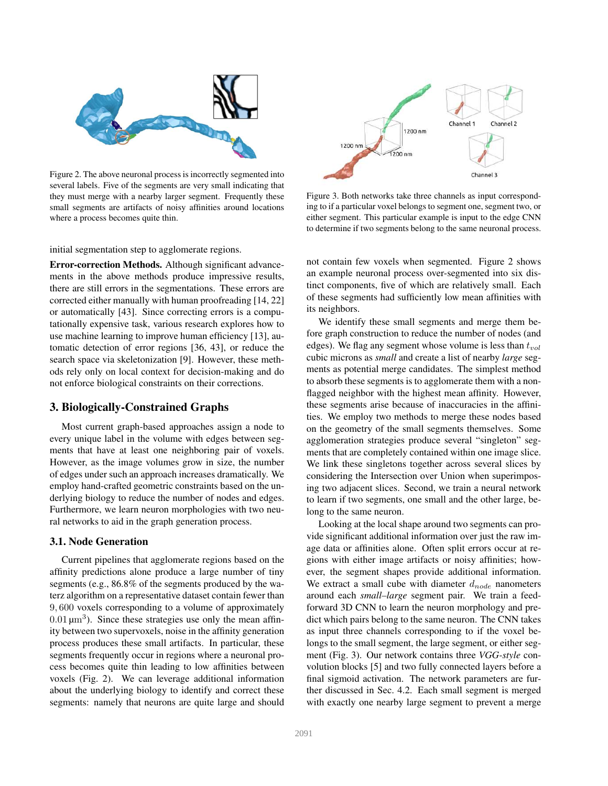

Figure 2. The above neuronal process is incorrectly segmented into several labels. Five of the segments are very small indicating that they must merge with a nearby larger segment. Frequently these small segments are artifacts of noisy affinities around locations where a process becomes quite thin.

initial segmentation step to agglomerate regions.

Error-correction Methods. Although significant advancements in the above methods produce impressive results, there are still errors in the segmentations. These errors are corrected either manually with human proofreading [14, 22] or automatically [43]. Since correcting errors is a computationally expensive task, various research explores how to use machine learning to improve human efficiency [13], automatic detection of error regions [36, 43], or reduce the search space via skeletonization [9]. However, these methods rely only on local context for decision-making and do not enforce biological constraints on their corrections.

## 3. Biologically-Constrained Graphs

Most current graph-based approaches assign a node to every unique label in the volume with edges between segments that have at least one neighboring pair of voxels. However, as the image volumes grow in size, the number of edges under such an approach increases dramatically. We employ hand-crafted geometric constraints based on the underlying biology to reduce the number of nodes and edges. Furthermore, we learn neuron morphologies with two neural networks to aid in the graph generation process.

#### 3.1. Node Generation

Current pipelines that agglomerate regions based on the affinity predictions alone produce a large number of tiny segments (e.g., 86.8% of the segments produced by the waterz algorithm on a representative dataset contain fewer than 9, 600 voxels corresponding to a volume of approximately  $0.01 \,\mathrm{\upmu m^3}$ ). Since these strategies use only the mean affinity between two supervoxels, noise in the affinity generation process produces these small artifacts. In particular, these segments frequently occur in regions where a neuronal process becomes quite thin leading to low affinities between voxels (Fig. 2). We can leverage additional information about the underlying biology to identify and correct these segments: namely that neurons are quite large and should



Figure 3. Both networks take three channels as input corresponding to if a particular voxel belongs to segment one, segment two, or either segment. This particular example is input to the edge CNN to determine if two segments belong to the same neuronal process.

not contain few voxels when segmented. Figure 2 shows an example neuronal process over-segmented into six distinct components, five of which are relatively small. Each of these segments had sufficiently low mean affinities with its neighbors.

We identify these small segments and merge them before graph construction to reduce the number of nodes (and edges). We flag any segment whose volume is less than  $t_{vol}$ cubic microns as *small* and create a list of nearby *large* segments as potential merge candidates. The simplest method to absorb these segments is to agglomerate them with a nonflagged neighbor with the highest mean affinity. However, these segments arise because of inaccuracies in the affinities. We employ two methods to merge these nodes based on the geometry of the small segments themselves. Some agglomeration strategies produce several "singleton" segments that are completely contained within one image slice. We link these singletons together across several slices by considering the Intersection over Union when superimposing two adjacent slices. Second, we train a neural network to learn if two segments, one small and the other large, belong to the same neuron.

Looking at the local shape around two segments can provide significant additional information over just the raw image data or affinities alone. Often split errors occur at regions with either image artifacts or noisy affinities; however, the segment shapes provide additional information. We extract a small cube with diameter  $d_{node}$  nanometers around each *small–large* segment pair. We train a feedforward 3D CNN to learn the neuron morphology and predict which pairs belong to the same neuron. The CNN takes as input three channels corresponding to if the voxel belongs to the small segment, the large segment, or either segment (Fig. 3). Our network contains three *VGG-style* convolution blocks [5] and two fully connected layers before a final sigmoid activation. The network parameters are further discussed in Sec. 4.2. Each small segment is merged with exactly one nearby large segment to prevent a merge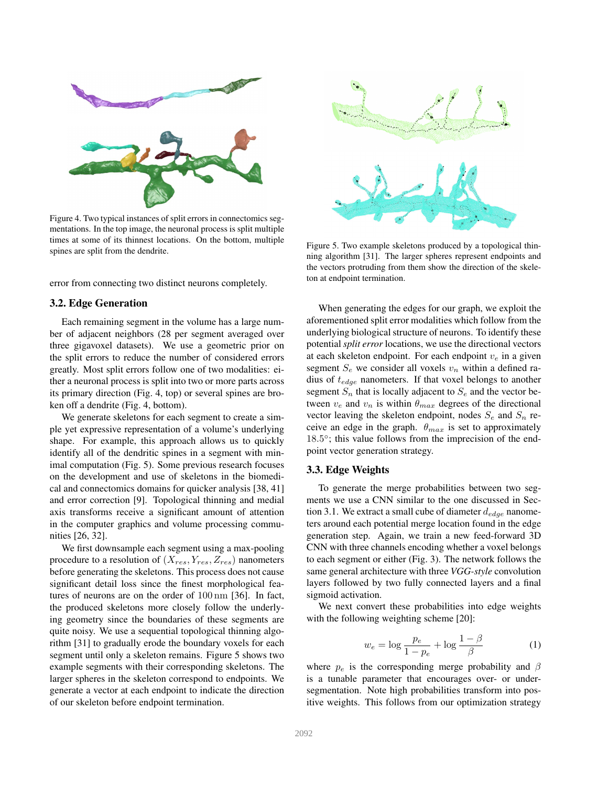

Figure 4. Two typical instances of split errors in connectomics segmentations. In the top image, the neuronal process is split multiple times at some of its thinnest locations. On the bottom, multiple spines are split from the dendrite.

error from connecting two distinct neurons completely.

#### 3.2. Edge Generation

Each remaining segment in the volume has a large number of adjacent neighbors (28 per segment averaged over three gigavoxel datasets). We use a geometric prior on the split errors to reduce the number of considered errors greatly. Most split errors follow one of two modalities: either a neuronal process is split into two or more parts across its primary direction (Fig. 4, top) or several spines are broken off a dendrite (Fig. 4, bottom).

We generate skeletons for each segment to create a simple yet expressive representation of a volume's underlying shape. For example, this approach allows us to quickly identify all of the dendritic spines in a segment with minimal computation (Fig. 5). Some previous research focuses on the development and use of skeletons in the biomedical and connectomics domains for quicker analysis [38, 41] and error correction [9]. Topological thinning and medial axis transforms receive a significant amount of attention in the computer graphics and volume processing communities [26, 32].

We first downsample each segment using a max-pooling procedure to a resolution of  $(X_{res}, Y_{res}, Z_{res})$  nanometers before generating the skeletons. This process does not cause significant detail loss since the finest morphological features of neurons are on the order of 100 nm [36]. In fact, the produced skeletons more closely follow the underlying geometry since the boundaries of these segments are quite noisy. We use a sequential topological thinning algorithm [31] to gradually erode the boundary voxels for each segment until only a skeleton remains. Figure 5 shows two example segments with their corresponding skeletons. The larger spheres in the skeleton correspond to endpoints. We generate a vector at each endpoint to indicate the direction of our skeleton before endpoint termination.



Figure 5. Two example skeletons produced by a topological thinning algorithm [31]. The larger spheres represent endpoints and the vectors protruding from them show the direction of the skeleton at endpoint termination.

When generating the edges for our graph, we exploit the aforementioned split error modalities which follow from the underlying biological structure of neurons. To identify these potential *split error* locations, we use the directional vectors at each skeleton endpoint. For each endpoint  $v_e$  in a given segment  $S_e$  we consider all voxels  $v_n$  within a defined radius of  $t_{edge}$  nanometers. If that voxel belongs to another segment  $S_n$  that is locally adjacent to  $S_e$  and the vector between  $v_e$  and  $v_n$  is within  $\theta_{max}$  degrees of the directional vector leaving the skeleton endpoint, nodes  $S_e$  and  $S_n$  receive an edge in the graph.  $\theta_{max}$  is set to approximately 18.5°; this value follows from the imprecision of the endpoint vector generation strategy.

## 3.3. Edge Weights

To generate the merge probabilities between two segments we use a CNN similar to the one discussed in Section 3.1. We extract a small cube of diameter  $d_{edge}$  nanometers around each potential merge location found in the edge generation step. Again, we train a new feed-forward 3D CNN with three channels encoding whether a voxel belongs to each segment or either (Fig. 3). The network follows the same general architecture with three *VGG-style* convolution layers followed by two fully connected layers and a final sigmoid activation.

We next convert these probabilities into edge weights with the following weighting scheme [20]:

$$
w_e = \log \frac{p_e}{1 - p_e} + \log \frac{1 - \beta}{\beta} \tag{1}
$$

where  $p_e$  is the corresponding merge probability and  $\beta$ is a tunable parameter that encourages over- or undersegmentation. Note high probabilities transform into positive weights. This follows from our optimization strategy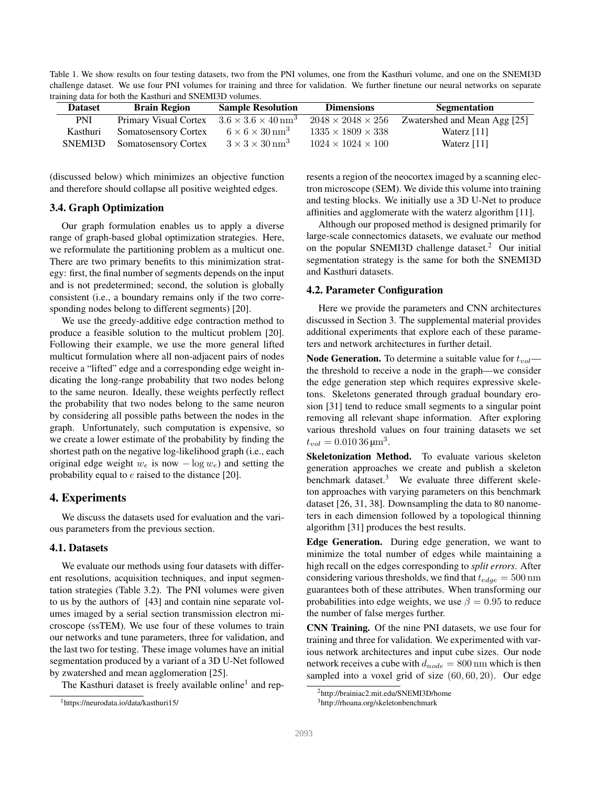Table 1. We show results on four testing datasets, two from the PNI volumes, one from the Kasthuri volume, and one on the SNEMI3D challenge dataset. We use four PNI volumes for training and three for validation. We further finetune our neural networks on separate training data for both the Kasthuri and SNEMI3D volumes.

| <b>Dataset</b> | <b>Brain Region</b>         | <b>Sample Resolution</b>                   | <b>Dimensions</b>             | <b>Segmentation</b>          |
|----------------|-----------------------------|--------------------------------------------|-------------------------------|------------------------------|
| PNI            | Primary Visual Cortex       | $3.6 \times 3.6 \times 40 \,\mathrm{nm}^3$ | $2048 \times 2048 \times 256$ | Zwatershed and Mean Agg [25] |
| Kasthuri       | <b>Somatosensory Cortex</b> | $6 \times 6 \times 30$ nm <sup>3</sup>     | $1335 \times 1809 \times 338$ | Waterz $[11]$                |
| SNEMI3D        | <b>Somatosensory Cortex</b> | $3 \times 3 \times 30$ nm <sup>3</sup>     | $1024 \times 1024 \times 100$ | Waterz $[11]$                |

(discussed below) which minimizes an objective function and therefore should collapse all positive weighted edges.

## 3.4. Graph Optimization

Our graph formulation enables us to apply a diverse range of graph-based global optimization strategies. Here, we reformulate the partitioning problem as a multicut one. There are two primary benefits to this minimization strategy: first, the final number of segments depends on the input and is not predetermined; second, the solution is globally consistent (i.e., a boundary remains only if the two corresponding nodes belong to different segments) [20].

We use the greedy-additive edge contraction method to produce a feasible solution to the multicut problem [20]. Following their example, we use the more general lifted multicut formulation where all non-adjacent pairs of nodes receive a "lifted" edge and a corresponding edge weight indicating the long-range probability that two nodes belong to the same neuron. Ideally, these weights perfectly reflect the probability that two nodes belong to the same neuron by considering all possible paths between the nodes in the graph. Unfortunately, such computation is expensive, so we create a lower estimate of the probability by finding the shortest path on the negative log-likelihood graph (i.e., each original edge weight  $w_e$  is now  $-\log w_e$ ) and setting the probability equal to e raised to the distance [20].

## 4. Experiments

We discuss the datasets used for evaluation and the various parameters from the previous section.

### 4.1. Datasets

We evaluate our methods using four datasets with different resolutions, acquisition techniques, and input segmentation strategies (Table 3.2). The PNI volumes were given to us by the authors of [43] and contain nine separate volumes imaged by a serial section transmission electron microscope (ssTEM). We use four of these volumes to train our networks and tune parameters, three for validation, and the last two for testing. These image volumes have an initial segmentation produced by a variant of a 3D U-Net followed by zwatershed and mean agglomeration [25].

The Kasthuri dataset is freely available online<sup>1</sup> and rep-

resents a region of the neocortex imaged by a scanning electron microscope (SEM). We divide this volume into training and testing blocks. We initially use a 3D U-Net to produce affinities and agglomerate with the waterz algorithm [11].

Although our proposed method is designed primarily for large-scale connectomics datasets, we evaluate our method on the popular SNEMI3D challenge dataset.<sup>2</sup> Our initial segmentation strategy is the same for both the SNEMI3D and Kasthuri datasets.

#### 4.2. Parameter Configuration

Here we provide the parameters and CNN architectures discussed in Section 3. The supplemental material provides additional experiments that explore each of these parameters and network architectures in further detail.

**Node Generation.** To determine a suitable value for  $t_{vol}$  the threshold to receive a node in the graph—we consider the edge generation step which requires expressive skeletons. Skeletons generated through gradual boundary erosion [31] tend to reduce small segments to a singular point removing all relevant shape information. After exploring various threshold values on four training datasets we set  $t_{vol} = 0.01036 \,\text{µm}^3.$ 

Skeletonization Method. To evaluate various skeleton generation approaches we create and publish a skeleton benchmark dataset.<sup>3</sup> We evaluate three different skeleton approaches with varying parameters on this benchmark dataset [26, 31, 38]. Downsampling the data to 80 nanometers in each dimension followed by a topological thinning algorithm [31] produces the best results.

Edge Generation. During edge generation, we want to minimize the total number of edges while maintaining a high recall on the edges corresponding to *split errors*. After considering various thresholds, we find that  $t_{edge} = 500 \text{ nm}$ guarantees both of these attributes. When transforming our probabilities into edge weights, we use  $\beta = 0.95$  to reduce the number of false merges further.

CNN Training. Of the nine PNI datasets, we use four for training and three for validation. We experimented with various network architectures and input cube sizes. Our node network receives a cube with  $d_{node} = 800$  nm which is then sampled into a voxel grid of size (60, 60, 20). Our edge

<sup>1</sup>https://neurodata.io/data/kasthuri15/

<sup>2</sup>http://brainiac2.mit.edu/SNEMI3D/home

<sup>3</sup>http://rhoana.org/skeletonbenchmark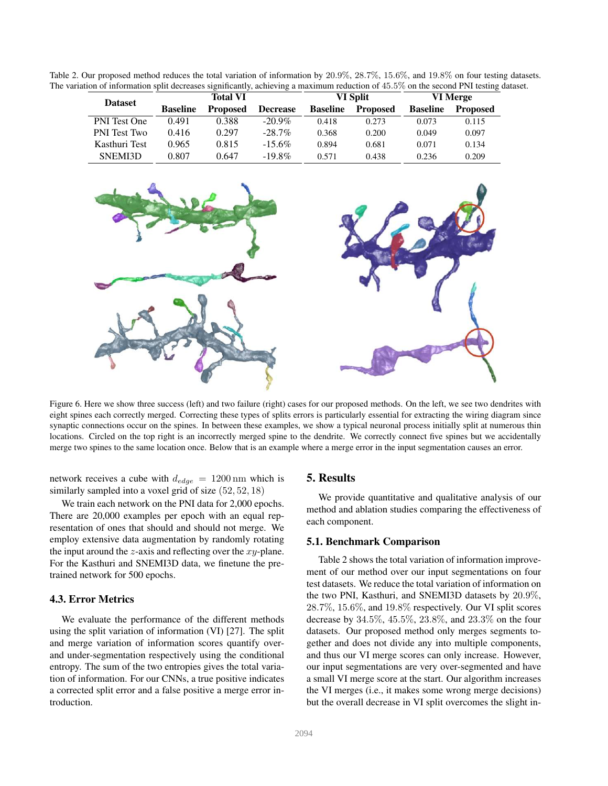Table 2. Our proposed method reduces the total variation of information by 20.9%, 28.7%, 15.6%, and 19.8% on four testing datasets. The variation of information split decreases significantly, achieving a maximum reduction of 45.5% on the second PNI testing dataset.

| <b>Dataset</b>      | Total VI        |                 | VI Split        |                 | VI Merge        |                 |                 |
|---------------------|-----------------|-----------------|-----------------|-----------------|-----------------|-----------------|-----------------|
|                     | <b>Baseline</b> | <b>Proposed</b> | <b>Decrease</b> | <b>Baseline</b> | <b>Proposed</b> | <b>Baseline</b> | <b>Proposed</b> |
| PNI Test One        | 0.491           | 0.388           | $-20.9\%$       | 0.418           | 0.273           | 0.073           | 0.115           |
| <b>PNI</b> Test Two | 0.416           | 0.297           | $-28.7\%$       | 0.368           | 0.200           | 0.049           | 0.097           |
| Kasthuri Test       | 0.965           | 0.815           | $-15.6\%$       | 0.894           | 0.681           | 0.071           | 0.134           |
| SNEMI3D             | 0.807           | 0.647           | $-19.8\%$       | 0.571           | 0.438           | 0.236           | 0.209           |



Figure 6. Here we show three success (left) and two failure (right) cases for our proposed methods. On the left, we see two dendrites with eight spines each correctly merged. Correcting these types of splits errors is particularly essential for extracting the wiring diagram since synaptic connections occur on the spines. In between these examples, we show a typical neuronal process initially split at numerous thin locations. Circled on the top right is an incorrectly merged spine to the dendrite. We correctly connect five spines but we accidentally merge two spines to the same location once. Below that is an example where a merge error in the input segmentation causes an error.

network receives a cube with  $d_{edge} = 1200 \text{ nm}$  which is similarly sampled into a voxel grid of size  $(52, 52, 18)$ 

We train each network on the PNI data for 2,000 epochs. There are 20,000 examples per epoch with an equal representation of ones that should and should not merge. We employ extensive data augmentation by randomly rotating the input around the  $z$ -axis and reflecting over the  $xy$ -plane. For the Kasthuri and SNEMI3D data, we finetune the pretrained network for 500 epochs.

# 4.3. Error Metrics

We evaluate the performance of the different methods using the split variation of information (VI) [27]. The split and merge variation of information scores quantify overand under-segmentation respectively using the conditional entropy. The sum of the two entropies gives the total variation of information. For our CNNs, a true positive indicates a corrected split error and a false positive a merge error introduction.

### 5. Results

We provide quantitative and qualitative analysis of our method and ablation studies comparing the effectiveness of each component.

#### 5.1. Benchmark Comparison

Table 2 shows the total variation of information improvement of our method over our input segmentations on four test datasets. We reduce the total variation of information on the two PNI, Kasthuri, and SNEMI3D datasets by 20.9%, 28.7%, 15.6%, and 19.8% respectively. Our VI split scores decrease by 34.5%, 45.5%, 23.8%, and 23.3% on the four datasets. Our proposed method only merges segments together and does not divide any into multiple components, and thus our VI merge scores can only increase. However, our input segmentations are very over-segmented and have a small VI merge score at the start. Our algorithm increases the VI merges (i.e., it makes some wrong merge decisions) but the overall decrease in VI split overcomes the slight in-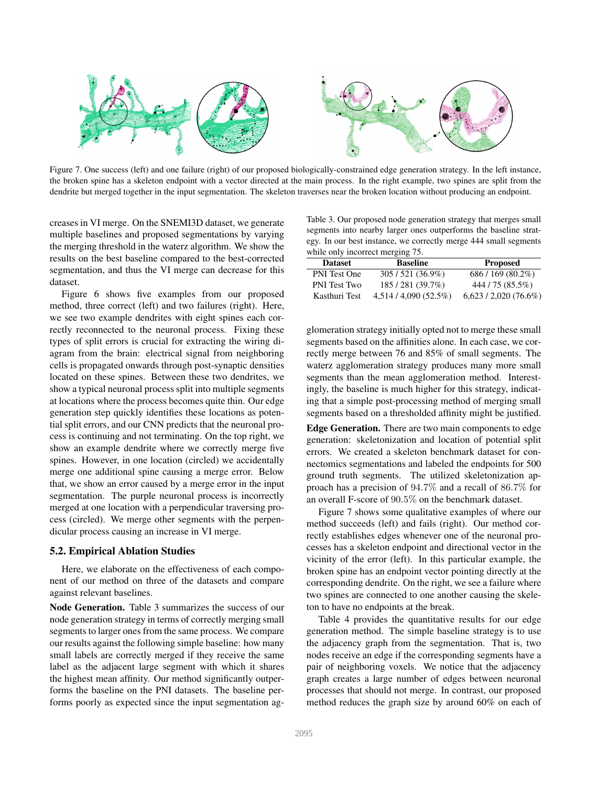

Figure 7. One success (left) and one failure (right) of our proposed biologically-constrained edge generation strategy. In the left instance, the broken spine has a skeleton endpoint with a vector directed at the main process. In the right example, two spines are split from the dendrite but merged together in the input segmentation. The skeleton traverses near the broken location without producing an endpoint.

creases in VI merge. On the SNEMI3D dataset, we generate multiple baselines and proposed segmentations by varying the merging threshold in the waterz algorithm. We show the results on the best baseline compared to the best-corrected segmentation, and thus the VI merge can decrease for this dataset.

Figure 6 shows five examples from our proposed method, three correct (left) and two failures (right). Here, we see two example dendrites with eight spines each correctly reconnected to the neuronal process. Fixing these types of split errors is crucial for extracting the wiring diagram from the brain: electrical signal from neighboring cells is propagated onwards through post-synaptic densities located on these spines. Between these two dendrites, we show a typical neuronal process split into multiple segments at locations where the process becomes quite thin. Our edge generation step quickly identifies these locations as potential split errors, and our CNN predicts that the neuronal process is continuing and not terminating. On the top right, we show an example dendrite where we correctly merge five spines. However, in one location (circled) we accidentally merge one additional spine causing a merge error. Below that, we show an error caused by a merge error in the input segmentation. The purple neuronal process is incorrectly merged at one location with a perpendicular traversing process (circled). We merge other segments with the perpendicular process causing an increase in VI merge.

### 5.2. Empirical Ablation Studies

Here, we elaborate on the effectiveness of each component of our method on three of the datasets and compare against relevant baselines.

Node Generation. Table 3 summarizes the success of our node generation strategy in terms of correctly merging small segments to larger ones from the same process. We compare our results against the following simple baseline: how many small labels are correctly merged if they receive the same label as the adjacent large segment with which it shares the highest mean affinity. Our method significantly outperforms the baseline on the PNI datasets. The baseline performs poorly as expected since the input segmentation ag-

Table 3. Our proposed node generation strategy that merges small segments into nearby larger ones outperforms the baseline strategy. In our best instance, we correctly merge 444 small segments while only incorrect merging 75.

| while only incorrect inciging 15. |                    |                       |  |  |
|-----------------------------------|--------------------|-----------------------|--|--|
| <b>Dataset</b>                    | <b>Baseline</b>    | <b>Proposed</b>       |  |  |
| <b>PNI</b> Test One               | $305/521(36.9\%)$  | $686/169(80.2\%)$     |  |  |
| <b>PNI</b> Test Two               | 185/281 (39.7%)    | 444 / 75 (85.5%)      |  |  |
| Kasthuri Test                     | 4.514/4.090(52.5%) | $6.623/2.020(76.6\%)$ |  |  |

glomeration strategy initially opted not to merge these small segments based on the affinities alone. In each case, we correctly merge between 76 and 85% of small segments. The waterz agglomeration strategy produces many more small segments than the mean agglomeration method. Interestingly, the baseline is much higher for this strategy, indicating that a simple post-processing method of merging small segments based on a thresholded affinity might be justified.

Edge Generation. There are two main components to edge generation: skeletonization and location of potential split errors. We created a skeleton benchmark dataset for connectomics segmentations and labeled the endpoints for 500 ground truth segments. The utilized skeletonization approach has a precision of 94.7% and a recall of 86.7% for an overall F-score of 90.5% on the benchmark dataset.

Figure 7 shows some qualitative examples of where our method succeeds (left) and fails (right). Our method correctly establishes edges whenever one of the neuronal processes has a skeleton endpoint and directional vector in the vicinity of the error (left). In this particular example, the broken spine has an endpoint vector pointing directly at the corresponding dendrite. On the right, we see a failure where two spines are connected to one another causing the skeleton to have no endpoints at the break.

Table 4 provides the quantitative results for our edge generation method. The simple baseline strategy is to use the adjacency graph from the segmentation. That is, two nodes receive an edge if the corresponding segments have a pair of neighboring voxels. We notice that the adjacency graph creates a large number of edges between neuronal processes that should not merge. In contrast, our proposed method reduces the graph size by around 60% on each of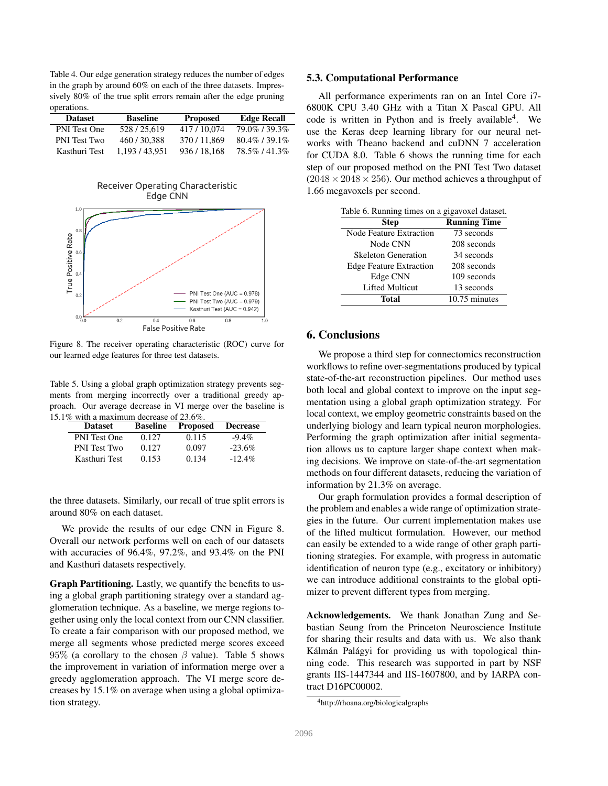Table 4. Our edge generation strategy reduces the number of edges in the graph by around 60% on each of the three datasets. Impressively 80% of the true split errors remain after the edge pruning operations.

| <b>Dataset</b>      | <b>Baseline</b> | <b>Proposed</b> | <b>Edge Recall</b> |
|---------------------|-----------------|-----------------|--------------------|
| <b>PNI</b> Test One | 528/25.619      | 417/10.074      | 79.0%/39.3%        |
| <b>PNI</b> Test Two | 460/30.388      | 370/11.869      | $80.4\%$ / 39.1%   |
| Kasthuri Test       | 1.193/43.951    | 936/18.168      | 78.5%/41.3%        |





Figure 8. The receiver operating characteristic (ROC) curve for our learned edge features for three test datasets.

Table 5. Using a global graph optimization strategy prevents segments from merging incorrectly over a traditional greedy approach. Our average decrease in VI merge over the baseline is 15.1% with a maximum decrease of 23.6%.

| <b>Dataset</b>      | <b>Baseline</b> | <b>Proposed</b> | <b>Decrease</b> |
|---------------------|-----------------|-----------------|-----------------|
| <b>PNI</b> Test One | 0.127           | 0.115           | $-9.4\%$        |
| <b>PNI</b> Test Two | 0.127           | 0.097           | $-23.6%$        |
| Kasthuri Test       | 0.153           | 0.134           | $-12.4\%$       |

the three datasets. Similarly, our recall of true split errors is around 80% on each dataset.

We provide the results of our edge CNN in Figure 8. Overall our network performs well on each of our datasets with accuracies of 96.4%, 97.2%, and 93.4% on the PNI and Kasthuri datasets respectively.

Graph Partitioning. Lastly, we quantify the benefits to using a global graph partitioning strategy over a standard agglomeration technique. As a baseline, we merge regions together using only the local context from our CNN classifier. To create a fair comparison with our proposed method, we merge all segments whose predicted merge scores exceed 95% (a corollary to the chosen  $\beta$  value). Table 5 shows the improvement in variation of information merge over a greedy agglomeration approach. The VI merge score decreases by 15.1% on average when using a global optimization strategy.

#### 5.3. Computational Performance

All performance experiments ran on an Intel Core i7- 6800K CPU 3.40 GHz with a Titan X Pascal GPU. All code is written in Python and is freely available<sup>4</sup>. We use the Keras deep learning library for our neural networks with Theano backend and cuDNN 7 acceleration for CUDA 8.0. Table 6 shows the running time for each step of our proposed method on the PNI Test Two dataset  $(2048 \times 2048 \times 256)$ . Our method achieves a throughput of 1.66 megavoxels per second.

| Table 6. Running times on a gigavoxel dataset. |                     |  |  |
|------------------------------------------------|---------------------|--|--|
| <b>Step</b>                                    | <b>Running Time</b> |  |  |
| <b>Node Feature Extraction</b>                 | 73 seconds          |  |  |
| Node CNN                                       | 208 seconds         |  |  |
| <b>Skeleton Generation</b>                     | 34 seconds          |  |  |
| <b>Edge Feature Extraction</b>                 | 208 seconds         |  |  |
| Edge CNN                                       | 109 seconds         |  |  |
| <b>Lifted Multicut</b>                         | 13 seconds          |  |  |
| Total                                          | 10.75 minutes       |  |  |

## 6. Conclusions

We propose a third step for connectomics reconstruction workflows to refine over-segmentations produced by typical state-of-the-art reconstruction pipelines. Our method uses both local and global context to improve on the input segmentation using a global graph optimization strategy. For local context, we employ geometric constraints based on the underlying biology and learn typical neuron morphologies. Performing the graph optimization after initial segmentation allows us to capture larger shape context when making decisions. We improve on state-of-the-art segmentation methods on four different datasets, reducing the variation of information by 21.3% on average.

Our graph formulation provides a formal description of the problem and enables a wide range of optimization strategies in the future. Our current implementation makes use of the lifted multicut formulation. However, our method can easily be extended to a wide range of other graph partitioning strategies. For example, with progress in automatic identification of neuron type (e.g., excitatory or inhibitory) we can introduce additional constraints to the global optimizer to prevent different types from merging.

Acknowledgements. We thank Jonathan Zung and Sebastian Seung from the Princeton Neuroscience Institute for sharing their results and data with us. We also thank Kálmán Palágyi for providing us with topological thinning code. This research was supported in part by NSF grants IIS-1447344 and IIS-1607800, and by IARPA contract D16PC00002.

<sup>4</sup>http://rhoana.org/biologicalgraphs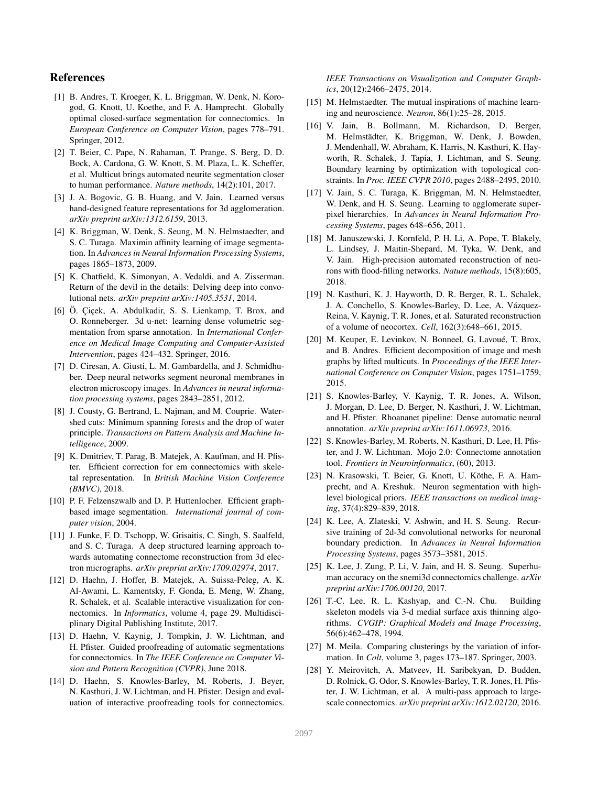# References

- [1] B. Andres, T. Kroeger, K. L. Briggman, W. Denk, N. Korogod, G. Knott, U. Koethe, and F. A. Hamprecht. Globally optimal closed-surface segmentation for connectomics. In *European Conference on Computer Vision*, pages 778–791. Springer, 2012.
- [2] T. Beier, C. Pape, N. Rahaman, T. Prange, S. Berg, D. D. Bock, A. Cardona, G. W. Knott, S. M. Plaza, L. K. Scheffer, et al. Multicut brings automated neurite segmentation closer to human performance. *Nature methods*, 14(2):101, 2017.
- [3] J. A. Bogovic, G. B. Huang, and V. Jain. Learned versus hand-designed feature representations for 3d agglomeration. *arXiv preprint arXiv:1312.6159*, 2013.
- [4] K. Briggman, W. Denk, S. Seung, M. N. Helmstaedter, and S. C. Turaga. Maximin affinity learning of image segmentation. In *Advances in Neural Information Processing Systems*, pages 1865–1873, 2009.
- [5] K. Chatfield, K. Simonyan, A. Vedaldi, and A. Zisserman. Return of the devil in the details: Delving deep into convolutional nets. *arXiv preprint arXiv:1405.3531*, 2014.
- [6] Ö. Çiçek, A. Abdulkadir, S. S. Lienkamp, T. Brox, and O. Ronneberger. 3d u-net: learning dense volumetric segmentation from sparse annotation. In *International Conference on Medical Image Computing and Computer-Assisted Intervention*, pages 424–432. Springer, 2016.
- [7] D. Ciresan, A. Giusti, L. M. Gambardella, and J. Schmidhuber. Deep neural networks segment neuronal membranes in electron microscopy images. In *Advances in neural information processing systems*, pages 2843–2851, 2012.
- [8] J. Cousty, G. Bertrand, L. Najman, and M. Couprie. Watershed cuts: Minimum spanning forests and the drop of water principle. *Transactions on Pattern Analysis and Machine Intelligence*, 2009.
- [9] K. Dmitriev, T. Parag, B. Matejek, A. Kaufman, and H. Pfister. Efficient correction for em connectomics with skeletal representation. In *British Machine Vision Conference (BMVC)*, 2018.
- [10] P. F. Felzenszwalb and D. P. Huttenlocher. Efficient graphbased image segmentation. *International journal of computer vision*, 2004.
- [11] J. Funke, F. D. Tschopp, W. Grisaitis, C. Singh, S. Saalfeld, and S. C. Turaga. A deep structured learning approach towards automating connectome reconstruction from 3d electron micrographs. *arXiv preprint arXiv:1709.02974*, 2017.
- [12] D. Haehn, J. Hoffer, B. Matejek, A. Suissa-Peleg, A. K. Al-Awami, L. Kamentsky, F. Gonda, E. Meng, W. Zhang, R. Schalek, et al. Scalable interactive visualization for connectomics. In *Informatics*, volume 4, page 29. Multidisciplinary Digital Publishing Institute, 2017.
- [13] D. Haehn, V. Kaynig, J. Tompkin, J. W. Lichtman, and H. Pfister. Guided proofreading of automatic segmentations for connectomics. In *The IEEE Conference on Computer Vision and Pattern Recognition (CVPR)*, June 2018.
- [14] D. Haehn, S. Knowles-Barley, M. Roberts, J. Beyer, N. Kasthuri, J. W. Lichtman, and H. Pfister. Design and evaluation of interactive proofreading tools for connectomics.

*IEEE Transactions on Visualization and Computer Graphics*, 20(12):2466–2475, 2014.

- [15] M. Helmstaedter. The mutual inspirations of machine learning and neuroscience. *Neuron*, 86(1):25–28, 2015.
- [16] V. Jain, B. Bollmann, M. Richardson, D. Berger, M. Helmstädter, K. Briggman, W. Denk, J. Bowden, J. Mendenhall, W. Abraham, K. Harris, N. Kasthuri, K. Hayworth, R. Schalek, J. Tapia, J. Lichtman, and S. Seung. Boundary learning by optimization with topological constraints. In *Proc. IEEE CVPR 2010*, pages 2488–2495, 2010.
- [17] V. Jain, S. C. Turaga, K. Briggman, M. N. Helmstaedter, W. Denk, and H. S. Seung. Learning to agglomerate superpixel hierarchies. In *Advances in Neural Information Processing Systems*, pages 648–656, 2011.
- [18] M. Januszewski, J. Kornfeld, P. H. Li, A. Pope, T. Blakely, L. Lindsey, J. Maitin-Shepard, M. Tyka, W. Denk, and V. Jain. High-precision automated reconstruction of neurons with flood-filling networks. *Nature methods*, 15(8):605, 2018.
- [19] N. Kasthuri, K. J. Hayworth, D. R. Berger, R. L. Schalek, J. A. Conchello, S. Knowles-Barley, D. Lee, A. Vazquez- ´ Reina, V. Kaynig, T. R. Jones, et al. Saturated reconstruction of a volume of neocortex. *Cell*, 162(3):648–661, 2015.
- [20] M. Keuper, E. Levinkov, N. Bonneel, G. Lavoué, T. Brox, and B. Andres. Efficient decomposition of image and mesh graphs by lifted multicuts. In *Proceedings of the IEEE International Conference on Computer Vision*, pages 1751–1759, 2015.
- [21] S. Knowles-Barley, V. Kaynig, T. R. Jones, A. Wilson, J. Morgan, D. Lee, D. Berger, N. Kasthuri, J. W. Lichtman, and H. Pfister. Rhoananet pipeline: Dense automatic neural annotation. *arXiv preprint arXiv:1611.06973*, 2016.
- [22] S. Knowles-Barley, M. Roberts, N. Kasthuri, D. Lee, H. Pfister, and J. W. Lichtman. Mojo 2.0: Connectome annotation tool. *Frontiers in Neuroinformatics*, (60), 2013.
- [23] N. Krasowski, T. Beier, G. Knott, U. Köthe, F. A. Hamprecht, and A. Kreshuk. Neuron segmentation with highlevel biological priors. *IEEE transactions on medical imaging*, 37(4):829–839, 2018.
- [24] K. Lee, A. Zlateski, V. Ashwin, and H. S. Seung. Recursive training of 2d-3d convolutional networks for neuronal boundary prediction. In *Advances in Neural Information Processing Systems*, pages 3573–3581, 2015.
- [25] K. Lee, J. Zung, P. Li, V. Jain, and H. S. Seung. Superhuman accuracy on the snemi3d connectomics challenge. *arXiv preprint arXiv:1706.00120*, 2017.
- [26] T.-C. Lee, R. L. Kashyap, and C.-N. Chu. Building skeleton models via 3-d medial surface axis thinning algorithms. *CVGIP: Graphical Models and Image Processing*, 56(6):462–478, 1994.
- [27] M. Meila. Comparing clusterings by the variation of information. In *Colt*, volume 3, pages 173–187. Springer, 2003.
- [28] Y. Meirovitch, A. Matveev, H. Saribekyan, D. Budden, D. Rolnick, G. Odor, S. Knowles-Barley, T. R. Jones, H. Pfister, J. W. Lichtman, et al. A multi-pass approach to largescale connectomics. *arXiv preprint arXiv:1612.02120*, 2016.